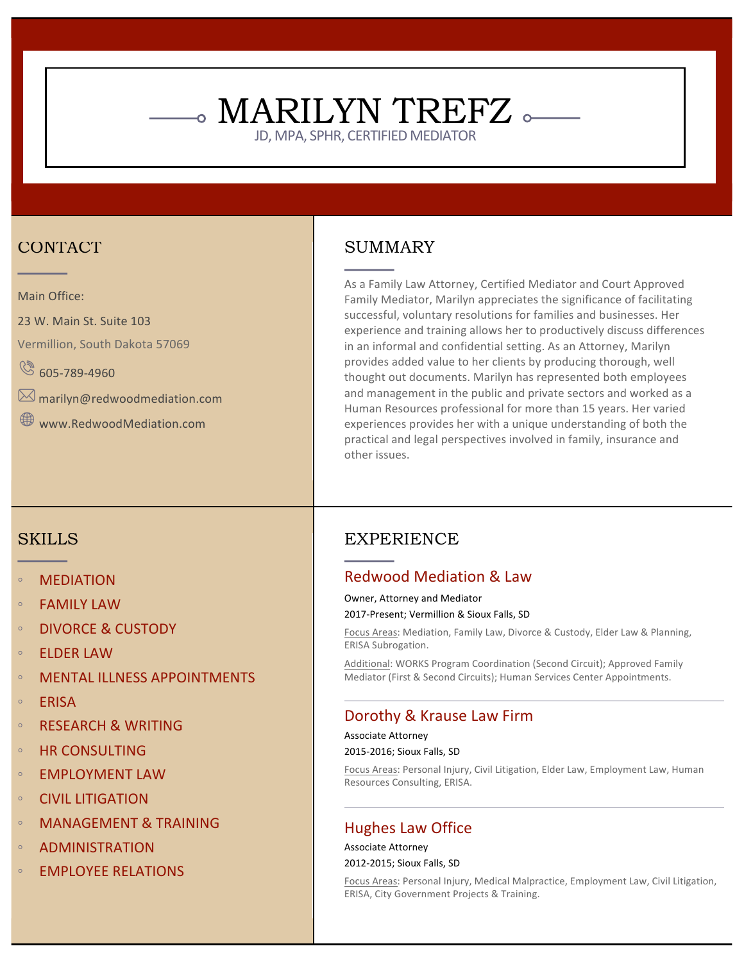## CONTACT

Main Office:

23 W. Main St. Suite 103

Vermillion, South Dakota 57069

 $\circled{8}$  605-789-4960

 $\boxtimes$  marilyn@redwoodmediation.com

Www.RedwoodMediation.com

### **SKILLS**

- **MEDIATION**
- **FAMILY LAW**
- **DIVORCE & CUSTODY**
- ELDER LAW
- **MENTAL ILLNESS APPOINTMENTS**
- ERISA
- **RESEARCH & WRITING**
- HR CONSULTING
- **EMPLOYMENT LAW**
- CIVIL LITIGATION
- **MANAGEMENT & TRAINING**
- **ADMINISTRATION**
- **EMPLOYEE RELATIONS**

### SUMMARY

 $_{\circ}$  MARILYN TREFZ  $_{\circ}\!\!=\!\!=$ 

JD, MPA, SPHR, CERTIFIED MEDIATOR

As a Family Law Attorney, Certified Mediator and Court Approved Family Mediator, Marilyn appreciates the significance of facilitating successful, voluntary resolutions for families and businesses. Her experience and training allows her to productively discuss differences in an informal and confidential setting. As an Attorney, Marilyn provides added value to her clients by producing thorough, well thought out documents. Marilyn has represented both employees and management in the public and private sectors and worked as a Human Resources professional for more than 15 years. Her varied experiences provides her with a unique understanding of both the practical and legal perspectives involved in family, insurance and other issues.

### EXPERIENCE

#### Redwood Mediation & Law

Owner, Attorney and Mediator

2017-Present; Vermillion & Sioux Falls, SD

Focus Areas: Mediation, Family Law, Divorce & Custody, Elder Law & Planning, ERISA Subrogation.

Additional: WORKS Program Coordination (Second Circuit); Approved Family Mediator (First & Second Circuits); Human Services Center Appointments.

### Dorothy & Krause Law Firm

Associate Attorney

2015-2016: Sioux Falls, SD

Focus Areas: Personal Injury, Civil Litigation, Elder Law, Employment Law, Human Resources Consulting, ERISA.

#### Hughes Law Office

Associate Attorney 2012-2015; Sioux Falls, SD

Focus Areas: Personal Injury, Medical Malpractice, Employment Law, Civil Litigation, ERISA, City Government Projects & Training.